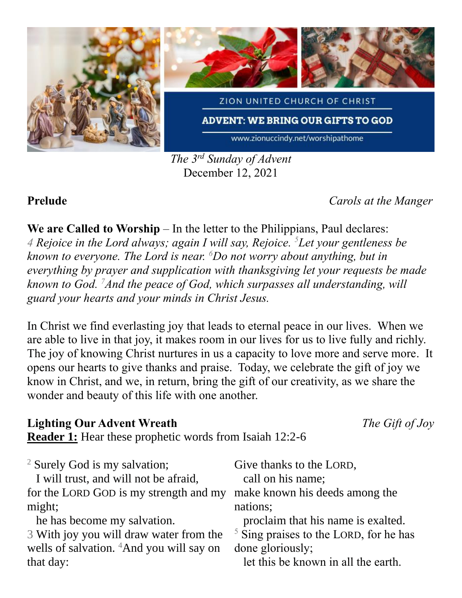

*The 3 rd Sunday of Advent* December 12, 2021

**Prelude** *Carols at the Manger*

**We are Called to Worship** – In the letter to the Philippians, Paul declares:

*4 Rejoice in the Lord always; again I will say, Rejoice. <sup>5</sup>Let your gentleness be known to everyone. The Lord is near. <sup>6</sup>Do not worry about anything, but in everything by prayer and supplication with thanksgiving let your requests be made known to God. <sup>7</sup>And the peace of God, which surpasses all understanding, will guard your hearts and your minds in Christ Jesus.* 

In Christ we find everlasting joy that leads to eternal peace in our lives. When we are able to live in that joy, it makes room in our lives for us to live fully and richly. The joy of knowing Christ nurtures in us a capacity to love more and serve more. It opens our hearts to give thanks and praise. Today, we celebrate the gift of joy we know in Christ, and we, in return, bring the gift of our creativity, as we share the wonder and beauty of this life with one another.

### **Lighting Our Advent Wreath** *The Gift of Joy*

**Reader 1:** Hear these prophetic words from Isaiah 12:2-6

| <sup>2</sup> Surely God is my salvation;             | Give thanks to the LORD,                           |
|------------------------------------------------------|----------------------------------------------------|
| I will trust, and will not be afraid,                | call on his name;                                  |
| for the LORD GOD is my strength and my               | make known his deeds among the                     |
| might;                                               | nations;                                           |
| he has become my salvation.                          | proclaim that his name is exalted.                 |
| 3 With joy you will draw water from the              | $\frac{5}{5}$ Sing praises to the LORD, for he has |
| wells of salvation. <sup>4</sup> And you will say on | done gloriously;                                   |
| that day:                                            | let this be known in all the earth.                |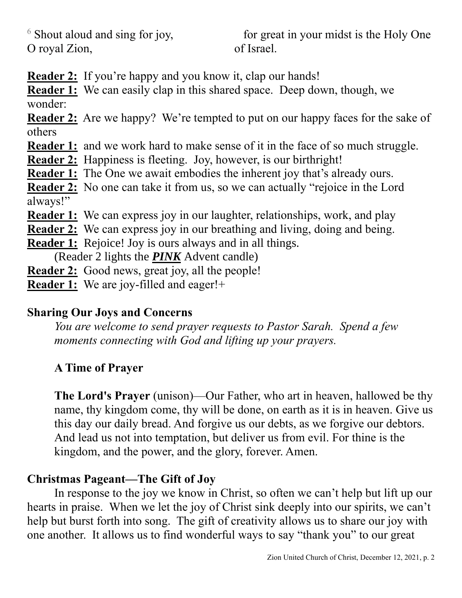$6$  Shout aloud and sing for joy, O royal Zion,

 for great in your midst is the Holy One of Israel.

**Reader 2:** If you're happy and you know it, clap our hands!

**Reader 1:** We can easily clap in this shared space. Deep down, though, we wonder:

**Reader 2:** Are we happy? We're tempted to put on our happy faces for the sake of others

**Reader 1:** and we work hard to make sense of it in the face of so much struggle.

**Reader 2:** Happiness is fleeting. Joy, however, is our birthright!

**Reader 1:** The One we await embodies the inherent joy that's already ours.

**Reader 2:** No one can take it from us, so we can actually "rejoice in the Lord always!"

**Reader 1:** We can express joy in our laughter, relationships, work, and play

**Reader 2:** We can express joy in our breathing and living, doing and being.

**Reader 1:** Rejoice! Joy is ours always and in all things.

(Reader 2 lights the *PINK* Advent candle)

**Reader 2:** Good news, great joy, all the people!

**Reader 1:** We are joy-filled and eager!+

## **Sharing Our Joys and Concerns**

*You are welcome to send prayer requests to Pastor Sarah. Spend a few moments connecting with God and lifting up your prayers.*

## **A Time of Prayer**

**The Lord's Prayer** (unison)—Our Father, who art in heaven, hallowed be thy name, thy kingdom come, thy will be done, on earth as it is in heaven. Give us this day our daily bread. And forgive us our debts, as we forgive our debtors. And lead us not into temptation, but deliver us from evil. For thine is the kingdom, and the power, and the glory, forever. Amen.

### **Christmas Pageant—The Gift of Joy**

In response to the joy we know in Christ, so often we can't help but lift up our hearts in praise. When we let the joy of Christ sink deeply into our spirits, we can't help but burst forth into song. The gift of creativity allows us to share our joy with one another. It allows us to find wonderful ways to say "thank you" to our great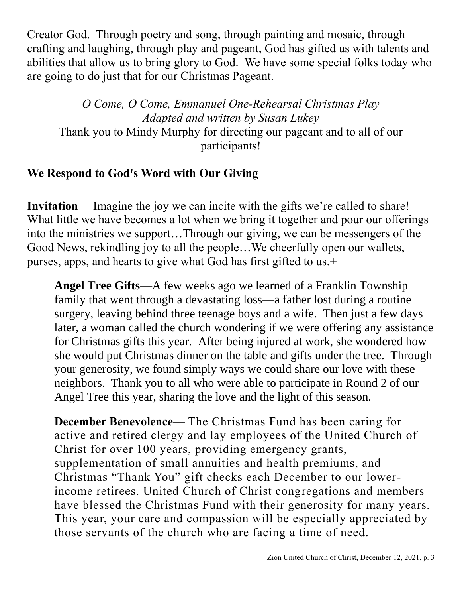Creator God. Through poetry and song, through painting and mosaic, through crafting and laughing, through play and pageant, God has gifted us with talents and abilities that allow us to bring glory to God. We have some special folks today who are going to do just that for our Christmas Pageant.

*O Come, O Come, Emmanuel One-Rehearsal Christmas Play Adapted and written by Susan Lukey* Thank you to Mindy Murphy for directing our pageant and to all of our participants!

# **We Respond to God's Word with Our Giving**

**Invitation—** Imagine the joy we can incite with the gifts we're called to share! What little we have becomes a lot when we bring it together and pour our offerings into the ministries we support…Through our giving, we can be messengers of the Good News, rekindling joy to all the people…We cheerfully open our wallets, purses, apps, and hearts to give what God has first gifted to us.+

**Angel Tree Gifts**—A few weeks ago we learned of a Franklin Township family that went through a devastating loss—a father lost during a routine surgery, leaving behind three teenage boys and a wife. Then just a few days later, a woman called the church wondering if we were offering any assistance for Christmas gifts this year. After being injured at work, she wondered how she would put Christmas dinner on the table and gifts under the tree. Through your generosity, we found simply ways we could share our love with these neighbors. Thank you to all who were able to participate in Round 2 of our Angel Tree this year, sharing the love and the light of this season.

**December Benevolence**— The Christmas Fund has been caring for active and retired clergy and lay employees of the United Church of Christ for over 100 years, providing emergency grants, supplementation of small annuities and health premiums, and Christmas "Thank You" gift checks each December to our lowerincome retirees. United Church of Christ congregations and members have blessed the Christmas Fund with their generosity for many years. This year, your care and compassion will be especially appreciated by those servants of the church who are facing a time of need.